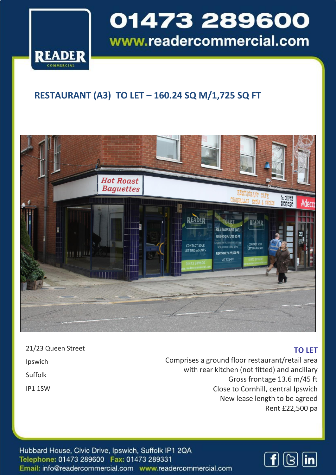

l

### 01473 289600 www.readercommercial.com

### **RESTAURANT (A3) TO LET – 160.24 SQ M/1,725 SQ FT**



| 21/23 Queen Street |
|--------------------|
| Ipswich            |
| Suffolk            |
| <b>IP1 1SW</b>     |

### **TO LET**

Comprises a ground floor restaurant/retail area with rear kitchen (not fitted) and ancillary Gross frontage 13.6 m/45 ft Close to Cornhill, central Ipswich New lease length to be agreed Rent £22,500 pa

Hubbard House, Civic Drive, Ipswich, Suffolk IP1 2QA Telephone: 01473 289600 Fax: 01473 289331 Email: info@readercommercial.com www.readercommercial.com

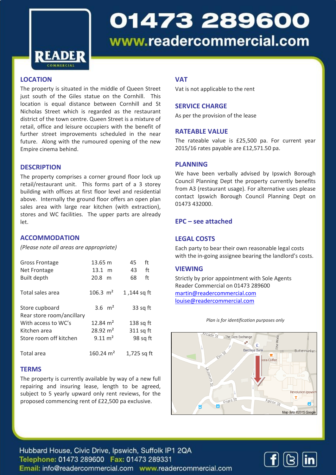

# 01473 289600 www.readercommercial.com

#### **LOCATION**

The property is situated in the middle of Queen Street just south of the Giles statue on the Cornhill. This location is equal distance between Cornhill and St Nicholas Street which is regarded as the restaurant district of the town centre. Queen Street is a mixture of retail, office and leisure occupiers with the benefit of further street improvements scheduled in the near future. Along with the rumoured opening of the new Empire cinema behind.

#### **DESCRIPTION**

The property comprises a corner ground floor lock up retail/restaurant unit. This forms part of a 3 storey building with offices at first floor level and residential above. Internally the ground floor offers an open plan sales area with large rear kitchen (with extraction), stores and WC facilities. The upper parts are already let.

#### **ACCOMMODATION**

*(Please note all areas are appropriate)*

| <b>Gross Frontage</b><br>Net Frontage<br><b>Built depth</b> | 13.65 m<br>$13.1 \text{ m}$<br>$20.8$ m | ft<br>45<br>ft<br>43<br>ft<br>68 |
|-------------------------------------------------------------|-----------------------------------------|----------------------------------|
| Total sales area                                            | $106.3 \text{ m}^2$                     | 1,144 sq ft                      |
| Store cupboard<br>Rear store room/ancillary                 | 3.6 $m2$                                | 33 sq ft                         |
| With access to WC's                                         | 12.84 $m2$                              | $138$ sq ft                      |
| Kitchen area                                                | $28.92 \text{ m}^2$                     | 311 sq ft                        |
| Store room off kitchen                                      | $9.11 \, \text{m}^2$                    | 98 sq ft                         |
| Total area                                                  | 160.24 $m2$                             | 1,725 sq ft                      |

#### **TERMS**

The property is currently available by way of a new full repairing and insuring lease, length to be agreed, subject to 5 yearly upward only rent reviews, for the proposed commencing rent of £22,500 pa exclusive.

#### **VAT**

Vat is not applicable to the rent

#### **SERVICE CHARGE**

As per the provision of the lease

#### **RATEABLE VALUE**

The rateable value is £25,500 pa. For current year 2015/16 rates payable are £12,571.50 pa.

#### **PLANNING**

We have been verbally advised by Ipswich Borough Council Planning Dept the property currently benefits from A3 (restaurant usage). For alternative uses please contact Ipswich Borough Council Planning Dept on 01473 432000.

#### **EPC – see attached**

#### **LEGAL COSTS**

Each party to bear their own reasonable legal costs with the in-going assignee bearing the landlord's costs.

#### **VIEWING**

Strictly by prior appointment with Sole Agents Reader Commercial on 01473 289600 [martin@readercommercial.com](mailto:martin@readercommercial.com)  [louise@readercommercial.com](mailto:louise@readercommercial.com)



*Plan is for identification purposes only*

Hubbard House, Civic Drive, Ipswich, Suffolk IP1 2QA Telephone: 01473 289600 Fax: 01473 289331 Email: info@readercommercial.com www.readercommercial.com